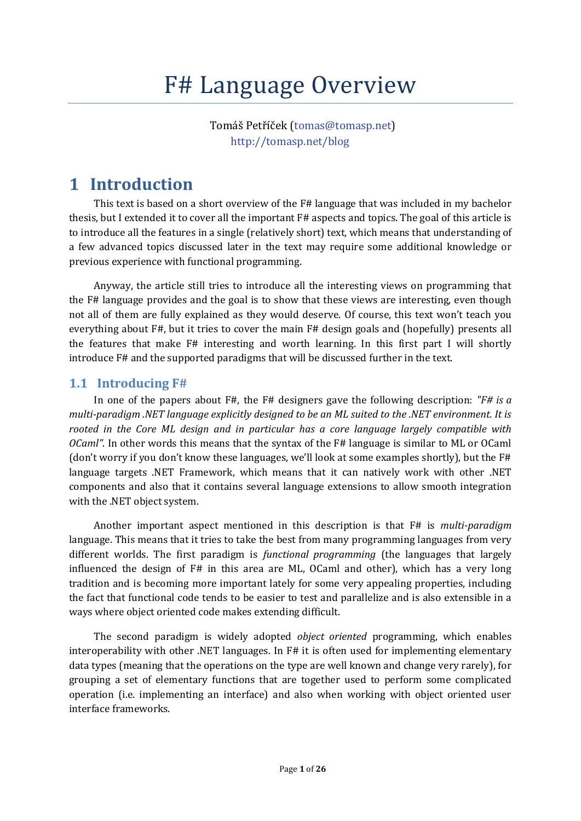# F# Language Overview

Tomáš Petříček ([tomas@tomasp.net\)](mailto:tomas@tomasp.net) <http://tomasp.net/blog>

## **1 Introduction**

This text is based on a short overview of the F# language that was included in my bachelor thesis, but I extended it to cover all the important F# aspects and topics. The goal of this article is to introduce all the features in a single (relatively short) text, which means that understanding of a few advanced topics discussed later in the text may require some additional knowledge or previous experience with functional programming.

Anyway, the article still tries to introduce all the interesting views on programming that the F# language provides and the goal is to show that these views are interesting, even though not all of them are fully explained as they would deserve. Of course, this text won't teach you everything about F#, but it tries to cover the main F# design goals and (hopefully) presents all the features that make F# interesting and worth learning. In this first part I will shortly introduce F# and the supported paradigms that will be discussed further in the text.

#### **1.1 Introducing F#**

In one of the papers about F#, the F# designers gave the following description: *"F# is a multi-paradigm .NET language explicitly designed to be an ML suited to the .NET environment. It is rooted in the Core ML design and in particular has a core language largely compatible with OCaml"*. In other words this means that the syntax of the F# language is similar to ML or OCaml (don't worry if you don't know these languages, we'll look at some examples shortly), but the F# language targets .NET Framework, which means that it can natively work with other .NET components and also that it contains several language extensions to allow smooth integration with the .NET object system.

Another important aspect mentioned in this description is that F# is *multi-paradigm* language. This means that it tries to take the best from many programming languages from very different worlds. The first paradigm is *functional programming* (the languages that largely influenced the design of F# in this area are ML, OCaml and other), which has a very long tradition and is becoming more important lately for some very appealing properties, including the fact that functional code tends to be easier to test and parallelize and is also extensible in a ways where object oriented code makes extending difficult.

The second paradigm is widely adopted *object oriented* programming, which enables interoperability with other .NET languages. In F# it is often used for implementing elementary data types (meaning that the operations on the type are well known and change very rarely), for grouping a set of elementary functions that are together used to perform some complicated operation (i.e. implementing an interface) and also when working with object oriented user interface frameworks.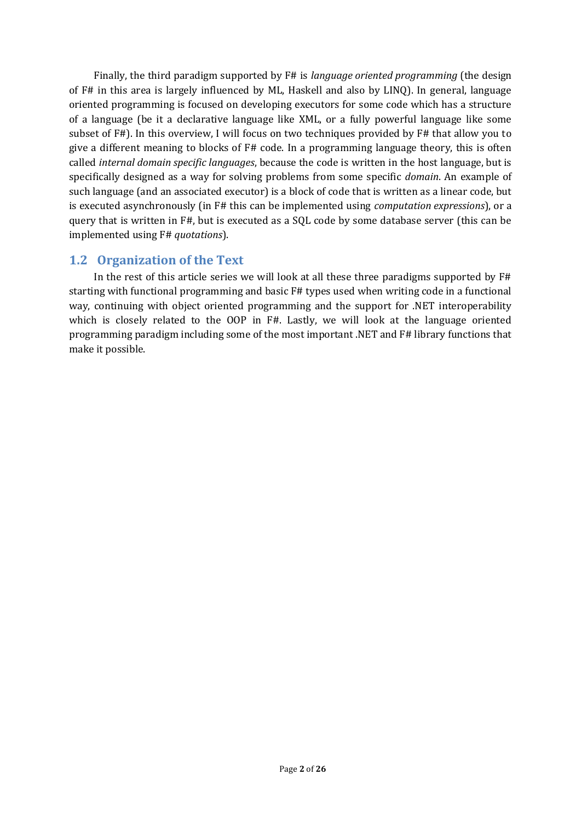Finally, the third paradigm supported by F# is *language oriented programming* (the design of F# in this area is largely influenced by ML, Haskell and also by LINQ). In general, language oriented programming is focused on developing executors for some code which has a structure of a language (be it a declarative language like XML, or a fully powerful language like some subset of F#). In this overview, I will focus on two techniques provided by F# that allow you to give a different meaning to blocks of F# code. In a programming language theory, this is often called *internal domain specific languages*, because the code is written in the host language, but is specifically designed as a way for solving problems from some specific *domain*. An example of such language (and an associated executor) is a block of code that is written as a linear code, but is executed asynchronously (in F# this can be implemented using *computation expressions*), or a query that is written in F#, but is executed as a SQL code by some database server (this can be implemented using F# *quotations*).

## **1.2 Organization of the Text**

In the rest of this article series we will look at all these three paradigms supported by F# starting with functional programming and basic F# types used when writing code in a functional way, continuing with object oriented programming and the support for .NET interoperability which is closely related to the OOP in F#. Lastly, we will look at the language oriented programming paradigm including some of the most important .NET and F# library functions that make it possible.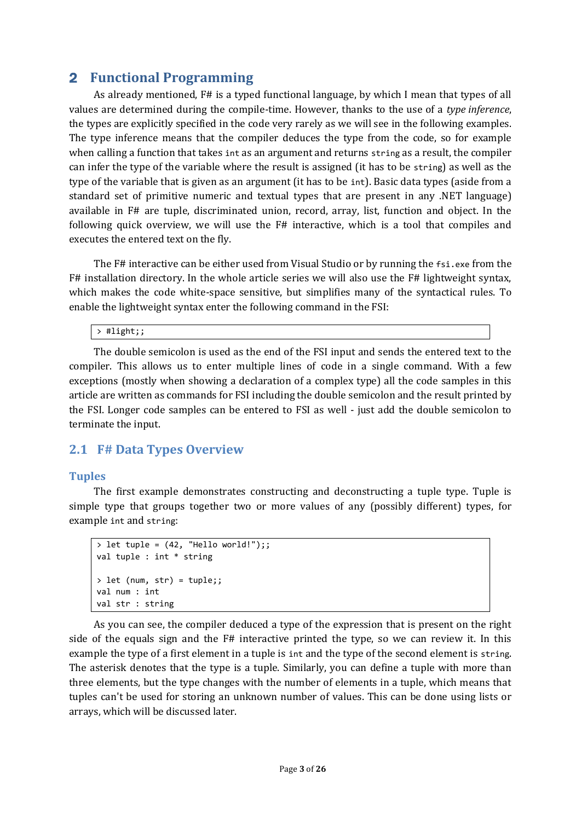## 2 **Functional Programming**

As already mentioned, F# is a typed functional language, by which I mean that types of all values are determined during the compile-time. However, thanks to the use of a *type inference*, the types are explicitly specified in the code very rarely as we will see in the following examples. The type inference means that the compiler deduces the type from the code, so for example when calling a function that takes int as an argument and returns string as a result, the compiler can infer the type of the variable where the result is assigned (it has to be string) as well as the type of the variable that is given as an argument (it has to be int). Basic data types (aside from a standard set of primitive numeric and textual types that are present in any .NET language) available in F# are tuple, discriminated union, record, array, list, function and object. In the following quick overview, we will use the F# interactive, which is a tool that compiles and executes the entered text on the fly.

The F# interactive can be either used from Visual Studio or by running the fsi.exe from the F# installation directory. In the whole article series we will also use the F# lightweight syntax, which makes the code white-space sensitive, but simplifies many of the syntactical rules. To enable the lightweight syntax enter the following command in the FSI:

#### > #light;;

The double semicolon is used as the end of the FSI input and sends the entered text to the compiler. This allows us to enter multiple lines of code in a single command. With a few exceptions (mostly when showing a declaration of a complex type) all the code samples in this article are written as commands for FSI including the double semicolon and the result printed by the FSI. Longer code samples can be entered to FSI as well - just add the double semicolon to terminate the input.

## **2.1 F# Data Types Overview**

#### **Tuples**

The first example demonstrates constructing and deconstructing a tuple type. Tuple is simple type that groups together two or more values of any (possibly different) types, for example int and string:

```
> let tuple = (42, "Hello world!");;
val tuple : int * string
> let (num, str) = tuple;;
val num : int
val str : string
```
As you can see, the compiler deduced a type of the expression that is present on the right side of the equals sign and the F# interactive printed the type, so we can review it. In this example the type of a first element in a tuple is int and the type of the second element is string. The asterisk denotes that the type is a tuple. Similarly, you can define a tuple with more than three elements, but the type changes with the number of elements in a tuple, which means that tuples can't be used for storing an unknown number of values. This can be done using lists or arrays, which will be discussed later.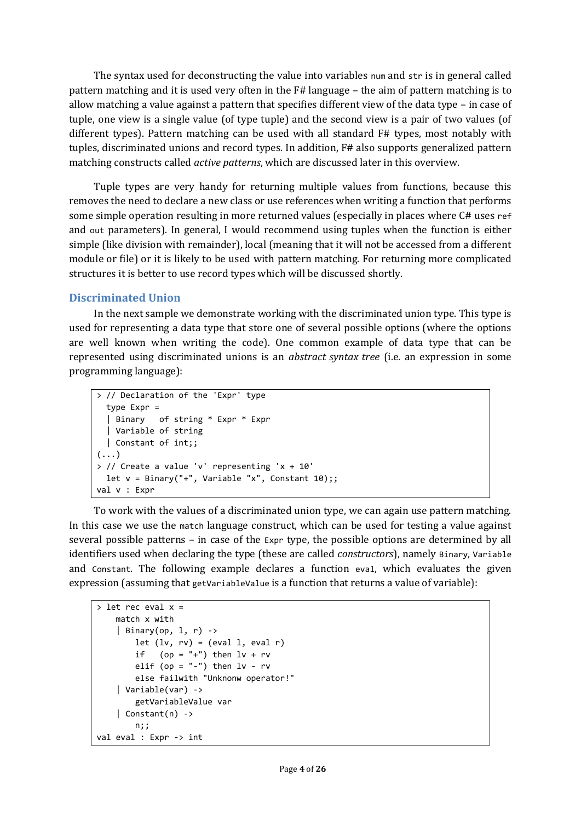The syntax used for deconstructing the value into variables num and str is in general called pattern matching and it is used very often in the F# language – the aim of pattern matching is to allow matching a value against a pattern that specifies different view of the data type – in case of tuple, one view is a single value (of type tuple) and the second view is a pair of two values (of different types). Pattern matching can be used with all standard F# types, most notably with tuples, discriminated unions and record types. In addition, F# also supports generalized pattern matching constructs called *active patterns*, which are discussed later in this overview.

Tuple types are very handy for returning multiple values from functions, because this removes the need to declare a new class or use references when writing a function that performs some simple operation resulting in more returned values (especially in places where C# uses ref and out parameters). In general, I would recommend using tuples when the function is either simple (like division with remainder), local (meaning that it will not be accessed from a different module or file) or it is likely to be used with pattern matching. For returning more complicated structures it is better to use record types which will be discussed shortly.

#### **Discriminated Union**

In the next sample we demonstrate working with the discriminated union type. This type is used for representing a data type that store one of several possible options (where the options are well known when writing the code). One common example of data type that can be represented using discriminated unions is an *abstract syntax tree* (i.e. an expression in some programming language):

```
> // Declaration of the 'Expr' type
   type Expr = 
   | Binary of string * Expr * Expr
   | Variable of string 
   | Constant of int;;
\left(\ldots\right)> // Create a value 'v' representing 'x + 10'
  let v = Binary(" +", Variable "x", Constant 10);;
val v : Expr
```
To work with the values of a discriminated union type, we can again use pattern matching. In this case we use the match language construct, which can be used for testing a value against several possible patterns – in case of the Expr type, the possible options are determined by all identifiers used when declaring the type (these are called *constructors*), namely Binary, Variable and Constant. The following example declares a function eval, which evaluates the given expression (assuming that getVariableValue is a function that returns a value of variable):

```
> let rec eval x =
    match x with
    | Binary(op, 1, r) ->
        let (lv, rv) = (eval 1, eval r)if (op = "-") then lv + rvelif (op = "-") then lv - rv else failwith "Unknonw operator!"
     | Variable(var) -> 
         getVariableValue var
    | Constant(n) ->
        n;;
val eval : Expr -> int
```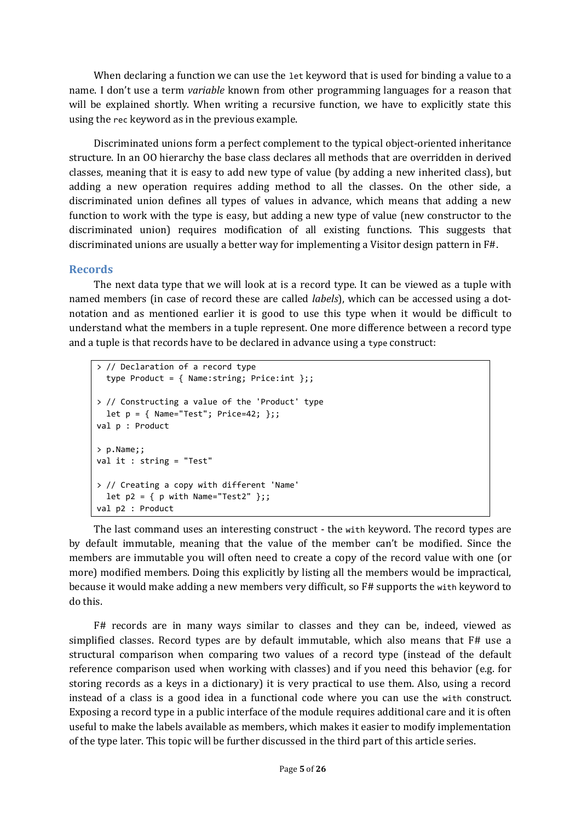When declaring a function we can use the let keyword that is used for binding a value to a name. I don't use a term *variable* known from other programming languages for a reason that will be explained shortly. When writing a recursive function, we have to explicitly state this using the rec keyword as in the previous example.

Discriminated unions form a perfect complement to the typical object-oriented inheritance structure. In an OO hierarchy the base class declares all methods that are overridden in derived classes, meaning that it is easy to add new type of value (by adding a new inherited class), but adding a new operation requires adding method to all the classes. On the other side, a discriminated union defines all types of values in advance, which means that adding a new function to work with the type is easy, but adding a new type of value (new constructor to the discriminated union) requires modification of all existing functions. This suggests that discriminated unions are usually a better way for implementing a Visitor design pattern in F#.

#### **Records**

The next data type that we will look at is a record type. It can be viewed as a tuple with named members (in case of record these are called *labels*), which can be accessed using a dotnotation and as mentioned earlier it is good to use this type when it would be difficult to understand what the members in a tuple represent. One more difference between a record type and a tuple is that records have to be declared in advance using a type construct:

```
> // Declaration of a record type 
   type Product = { Name:string; Price:int };;
> // Constructing a value of the 'Product' type
 let p = \{ Name="Test"; Price=42; \};val p : Product
> p.Name;;
val it : string = "Test"
> // Creating a copy with different 'Name'
  let p2 = \{ p \text{ with Name} = "Test2" };
val p2 : Product
```
The last command uses an interesting construct - the with keyword. The record types are by default immutable, meaning that the value of the member can't be modified. Since the members are immutable you will often need to create a copy of the record value with one (or more) modified members. Doing this explicitly by listing all the members would be impractical, because it would make adding a new members very difficult, so F# supports the with keyword to do this.

F# records are in many ways similar to classes and they can be, indeed, viewed as simplified classes. Record types are by default immutable, which also means that F# use a structural comparison when comparing two values of a record type (instead of the default reference comparison used when working with classes) and if you need this behavior (e.g. for storing records as a keys in a dictionary) it is very practical to use them. Also, using a record instead of a class is a good idea in a functional code where you can use the with construct. Exposing a record type in a public interface of the module requires additional care and it is often useful to make the labels available as members, which makes it easier to modify implementation of the type later. This topic will be further discussed in the third part of this article series.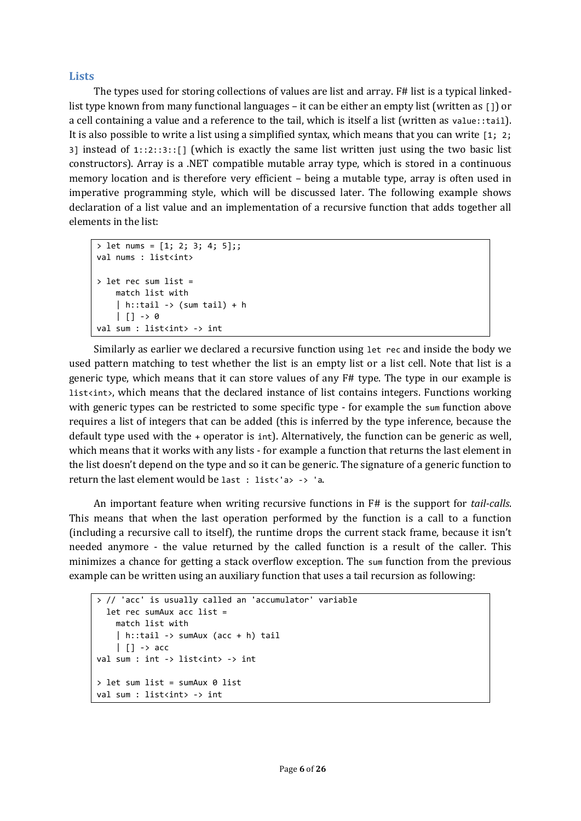#### **Lists**

The types used for storing collections of values are list and array. F# list is a typical linkedlist type known from many functional languages – it can be either an empty list (written as [1] or a cell containing a value and a reference to the tail, which is itself a list (written as value::tail). It is also possible to write a list using a simplified syntax, which means that you can write [1; 2; 3] instead of  $1:2:3:1$  [which is exactly the same list written just using the two basic list constructors). Array is a .NET compatible mutable array type, which is stored in a continuous memory location and is therefore very efficient – being a mutable type, array is often used in imperative programming style, which will be discussed later. The following example shows declaration of a list value and an implementation of a recursive function that adds together all elements in the list:

```
> let nums = [1; 2; 3; 4; 5];;
val nums : list<int>
> let rec sum list = 
     match list with
    \vert h::tail -> (sum tail) + h
    | 1 - > 0val sum : list<int> -> int
```
Similarly as earlier we declared a recursive function using let rec and inside the body we used pattern matching to test whether the list is an empty list or a list cell. Note that list is a generic type, which means that it can store values of any F# type. The type in our example is list<int>, which means that the declared instance of list contains integers. Functions working with generic types can be restricted to some specific type - for example the sum function above requires a list of integers that can be added (this is inferred by the type inference, because the default type used with the + operator is int). Alternatively, the function can be generic as well, which means that it works with any lists - for example a function that returns the last element in the list doesn't depend on the type and so it can be generic. The signature of a generic function to return the last element would be last : list<'a> -> 'a.

An important feature when writing recursive functions in F# is the support for *tail-calls*. This means that when the last operation performed by the function is a call to a function (including a recursive call to itself), the runtime drops the current stack frame, because it isn't needed anymore - the value returned by the called function is a result of the caller. This minimizes a chance for getting a stack overflow exception. The sum function from the previous example can be written using an auxiliary function that uses a tail recursion as following:

```
> // 'acc' is usually called an 'accumulator' variable
   let rec sumAux acc list = 
     match list with
     | h::tail -> sumAux (acc + h) tail
    | | \rightarrow acc
val sum : int -> list<int> -> int
> let sum list = sumAux 0 list
val sum : list<int> -> int
```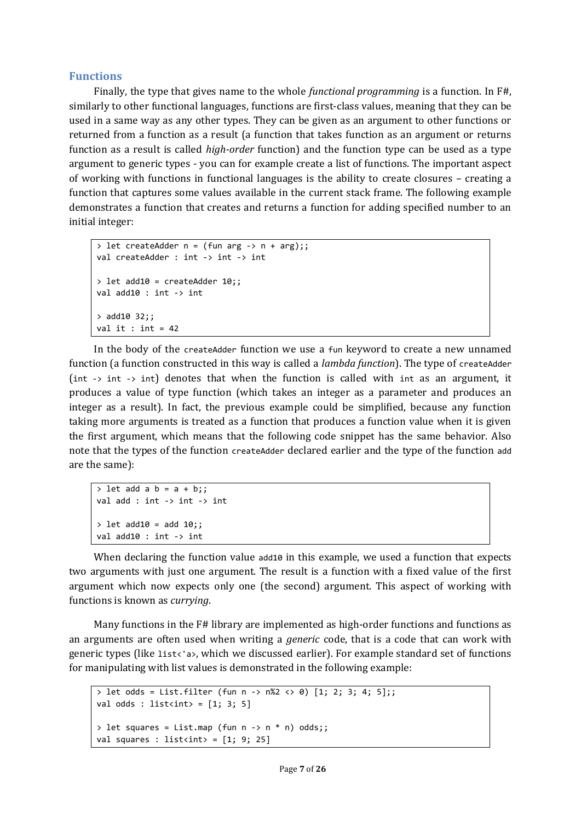#### **Functions**

Finally, the type that gives name to the whole *functional programming* is a function. In F#, similarly to other functional languages, functions are first-class values, meaning that they can be used in a same way as any other types. They can be given as an argument to other functions or returned from a function as a result (a function that takes function as an argument or returns function as a result is called *high-order* function) and the function type can be used as a type argument to generic types - you can for example create a list of functions. The important aspect of working with functions in functional languages is the ability to create closures – creating a function that captures some values available in the current stack frame. The following example demonstrates a function that creates and returns a function for adding specified number to an initial integer:

```
> let createAdder n = (fun arg -> n + arg);;
val createAdder : int -> int -> int
> let add10 = createAdder 10;;
val add10 : int -> int
> add10 32;;
val it : int = 42
```
In the body of the createAdder function we use a fun keyword to create a new unnamed function (a function constructed in this way is called a *lambda function*). The type of createAdder (int -> int -> int) denotes that when the function is called with int as an argument, it produces a value of type function (which takes an integer as a parameter and produces an integer as a result). In fact, the previous example could be simplified, because any function taking more arguments is treated as a function that produces a function value when it is given the first argument, which means that the following code snippet has the same behavior. Also note that the types of the function createAdder declared earlier and the type of the function add are the same):

```
> let add a b = a + b;;
val add : int -> int -> int
> let add10 = add 10;;
val add10 : int -> int
```
When declaring the function value add10 in this example, we used a function that expects two arguments with just one argument. The result is a function with a fixed value of the first argument which now expects only one (the second) argument. This aspect of working with functions is known as *currying*.

Many functions in the F# library are implemented as high-order functions and functions as an arguments are often used when writing a *generic* code, that is a code that can work with generic types (like list<'a>, which we discussed earlier). For example standard set of functions for manipulating with list values is demonstrated in the following example:

```
> let odds = List.filter (fun n -> n%2 <> 0) [1; 2; 3; 4; 5];;
val odds : list<int> = [1; 3; 5]> let squares = List.map (fun n -> n * n) odds;;
val squares : list<int> = [1; 9; 25]
```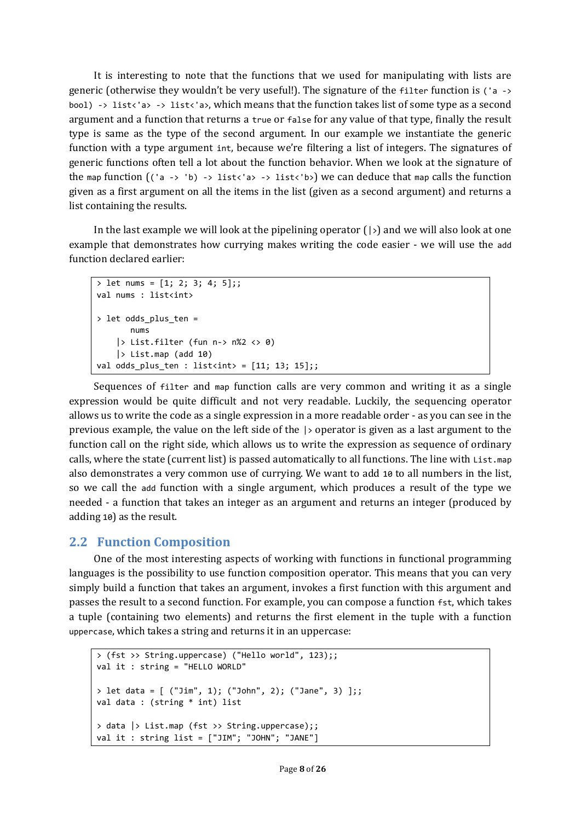It is interesting to note that the functions that we used for manipulating with lists are generic (otherwise they wouldn't be very useful!). The signature of the filter function is ('a -> bool) -> list<'a> -> list<'a>, which means that the function takes list of some type as a second argument and a function that returns a true or false for any value of that type, finally the result type is same as the type of the second argument. In our example we instantiate the generic function with a type argument int, because we're filtering a list of integers. The signatures of generic functions often tell a lot about the function behavior. When we look at the signature of the map function  $((a \rightarrow b) \rightarrow list \& 'a) \rightarrow list \& 'b)$  we can deduce that map calls the function given as a first argument on all the items in the list (given as a second argument) and returns a list containing the results.

In the last example we will look at the pipelining operator  $(|\cdot)|$  and we will also look at one example that demonstrates how currying makes writing the code easier - we will use the add function declared earlier:

```
> let nums = [1; 2; 3; 4; 5];val nums : list<int>
> let odds_plus_ten = 
        nums 
    |> List.filter (fun n-> n\%2 \le 0)
    |> List.map (add 10)
val odds_plus_ten : list<int> = [11; 13; 15];;
```
Sequences of filter and map function calls are very common and writing it as a single expression would be quite difficult and not very readable. Luckily, the sequencing operator allows us to write the code as a single expression in a more readable order - as you can see in the previous example, the value on the left side of the |> operator is given as a last argument to the function call on the right side, which allows us to write the expression as sequence of ordinary calls, where the state (current list) is passed automatically to all functions. The line with List.map also demonstrates a very common use of currying. We want to add 10 to all numbers in the list, so we call the add function with a single argument, which produces a result of the type we needed - a function that takes an integer as an argument and returns an integer (produced by adding 10) as the result.

## **2.2 Function Composition**

One of the most interesting aspects of working with functions in functional programming languages is the possibility to use function composition operator. This means that you can very simply build a function that takes an argument, invokes a first function with this argument and passes the result to a second function. For example, you can compose a function fst, which takes a tuple (containing two elements) and returns the first element in the tuple with a function uppercase, which takes a string and returns it in an uppercase:

```
> (fst >> String.uppercase) ("Hello world", 123);;
val it : string = "HELLO WORLD"
> let data = [ ("Jim", 1); ("John", 2); ("Jane", 3) ];;
val data : (string * int) list
> data |> List.map (fst >> String.uppercase);;
val it : string list = ["JIM"; "JOHN"; "JANE"]
```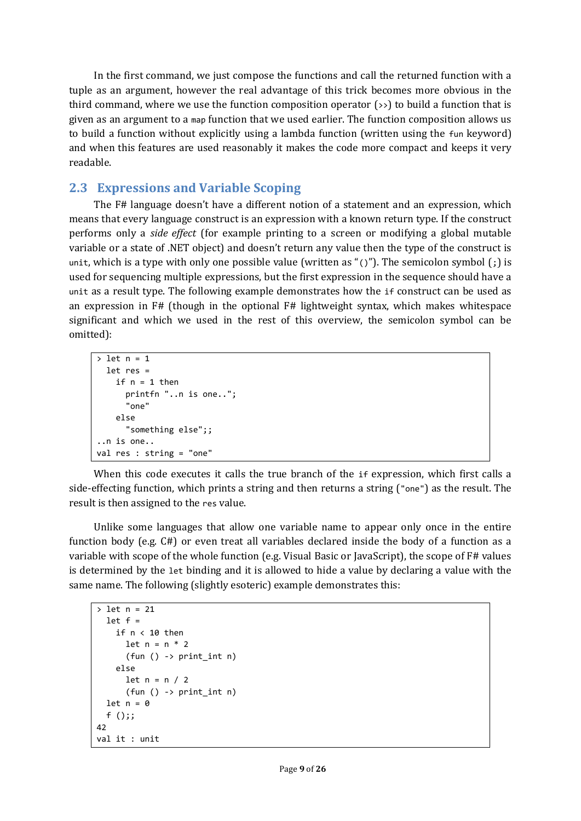In the first command, we just compose the functions and call the returned function with a tuple as an argument, however the real advantage of this trick becomes more obvious in the third command, where we use the function composition operator  $\rightarrow$ ) to build a function that is given as an argument to a map function that we used earlier. The function composition allows us to build a function without explicitly using a lambda function (written using the fun keyword) and when this features are used reasonably it makes the code more compact and keeps it very readable.

## **2.3 Expressions and Variable Scoping**

The F# language doesn't have a different notion of a statement and an expression, which means that every language construct is an expression with a known return type. If the construct performs only a *side effect* (for example printing to a screen or modifying a global mutable variable or a state of .NET object) and doesn't return any value then the type of the construct is unit, which is a type with only one possible value (written as "()"). The semicolon symbol  $\mathfrak{f}$ ; is used for sequencing multiple expressions, but the first expression in the sequence should have a unit as a result type. The following example demonstrates how the if construct can be used as an expression in F# (though in the optional F# lightweight syntax, which makes whitespace significant and which we used in the rest of this overview, the semicolon symbol can be omitted):

```
> let n = 1
   let res = 
    if n = 1 then
       printfn "..n is one..";
        "one"
     else
       "something else";;
..n is one..
val res : string = "one"
```
When this code executes it calls the true branch of the if expression, which first calls a side-effecting function, which prints a string and then returns a string ("one") as the result. The result is then assigned to the res value.

Unlike some languages that allow one variable name to appear only once in the entire function body (e.g. C#) or even treat all variables declared inside the body of a function as a variable with scope of the whole function (e.g. Visual Basic or JavaScript), the scope of F# values is determined by the let binding and it is allowed to hide a value by declaring a value with the same name. The following (slightly esoteric) example demonstrates this:

```
> let n = 21
  let f =if n < 10 then
      let n = n * 2(fun () -> print int n)
     else
      let n = n / 2(fun () -> print int n)
  let n = 0 f ();;
42
val it : unit
```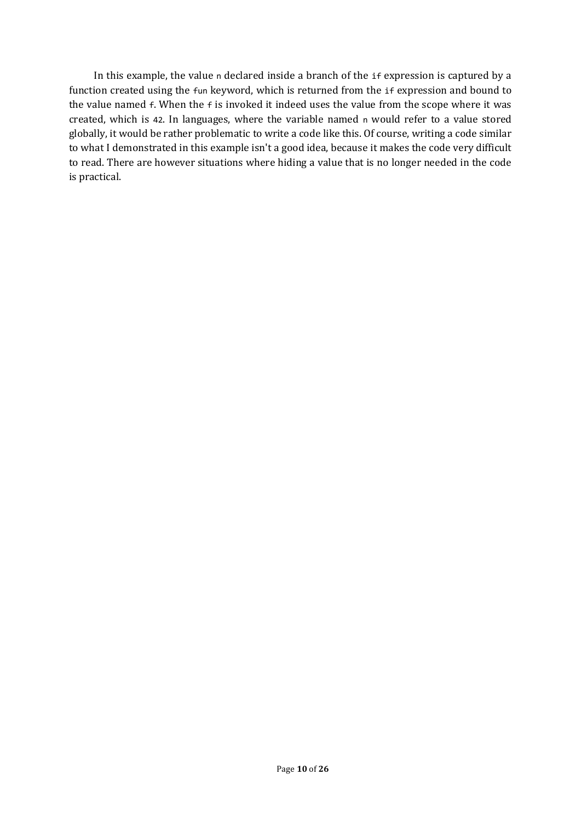In this example, the value n declared inside a branch of the if expression is captured by a function created using the fun keyword, which is returned from the if expression and bound to the value named f. When the f is invoked it indeed uses the value from the scope where it was created, which is 42. In languages, where the variable named n would refer to a value stored globally, it would be rather problematic to write a code like this. Of course, writing a code similar to what I demonstrated in this example isn't a good idea, because it makes the code very difficult to read. There are however situations where hiding a value that is no longer needed in the code is practical.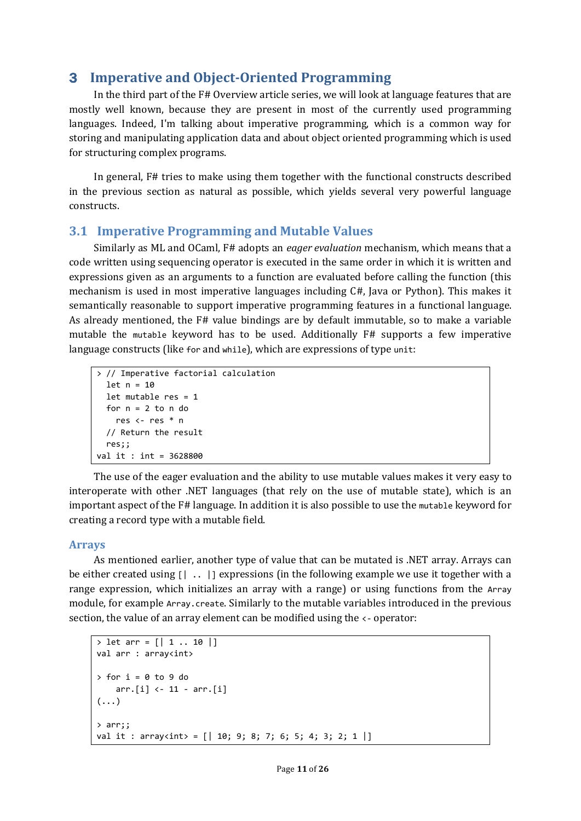## 3 **Imperative and Object-Oriented Programming**

In the third part of the F# Overview article series, we will look at language features that are mostly well known, because they are present in most of the currently used programming languages. Indeed, I'm talking about imperative programming, which is a common way for storing and manipulating application data and about object oriented programming which is used for structuring complex programs.

In general, F# tries to make using them together with the functional constructs described in the previous section as natural as possible, which yields several very powerful language constructs.

#### **3.1 Imperative Programming and Mutable Values**

Similarly as ML and OCaml, F# adopts an *eager evaluation* mechanism, which means that a code written using sequencing operator is executed in the same order in which it is written and expressions given as an arguments to a function are evaluated before calling the function (this mechanism is used in most imperative languages including C#, Java or Python). This makes it semantically reasonable to support imperative programming features in a functional language. As already mentioned, the F# value bindings are by default immutable, so to make a variable mutable the mutable keyword has to be used. Additionally F# supports a few imperative language constructs (like for and while), which are expressions of type unit:

```
> // Imperative factorial calculation
   let n = 10
   let mutable res = 1
  for n = 2 to n do
     res <- res * n 
   // Return the result
  res;;
val it : int = 3628800
```
The use of the eager evaluation and the ability to use mutable values makes it very easy to interoperate with other .NET languages (that rely on the use of mutable state), which is an important aspect of the F# language. In addition it is also possible to use the mutable keyword for creating a record type with a mutable field.

#### **Arrays**

As mentioned earlier, another type of value that can be mutated is .NET array. Arrays can be either created using  $[ \cdot \cdot \cdot \cdot ]$  expressions (in the following example we use it together with a range expression, which initializes an array with a range) or using functions from the Array module, for example Array.create. Similarly to the mutable variables introduced in the previous section, the value of an array element can be modified using the <- operator:

```
> let arr = [ | 1 ... 10 | ]val arr : array<int>
> for i = 0 to 9 do 
     arr.[i] <- 11 - arr.[i]
(\ldots)> arr;;
val it : array<int> = [ | 10; 9; 8; 7; 6; 5; 4; 3; 2; 1 | ]
```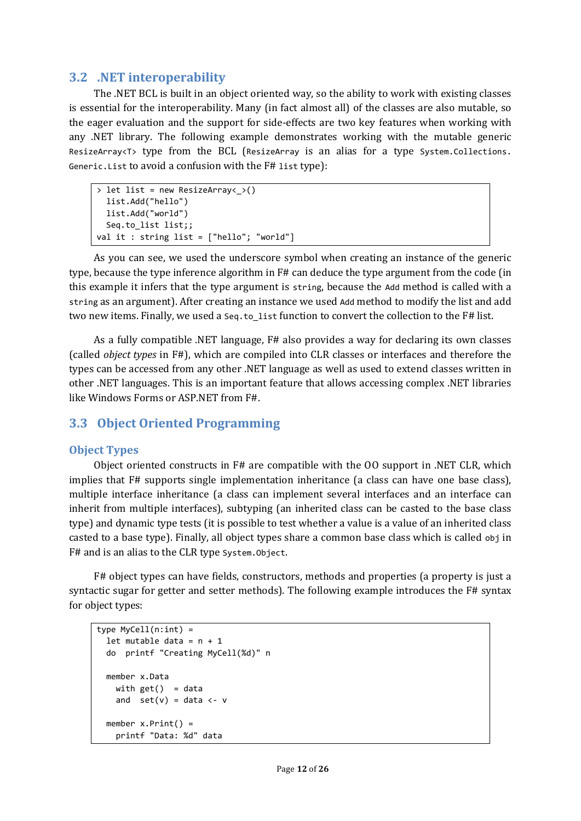#### **3.2 .NET interoperability**

The .NET BCL is built in an object oriented way, so the ability to work with existing classes is essential for the interoperability. Many (in fact almost all) of the classes are also mutable, so the eager evaluation and the support for side-effects are two key features when working with any .NET library. The following example demonstrates working with the mutable generic ResizeArray<T> type from the BCL (ResizeArray is an alias for a type System.Collections. Generic.List to avoid a confusion with the F# list type):

```
> let list = new ResizeArray< >()
   list.Add("hello")
   list.Add("world")
  Seq.to_list list;;
val it : string list = ["hello"; "world"]
```
As you can see, we used the underscore symbol when creating an instance of the generic type, because the type inference algorithm in F# can deduce the type argument from the code (in this example it infers that the type argument is string, because the Add method is called with a string as an argument). After creating an instance we used Add method to modify the list and add two new items. Finally, we used a seq.to\_list function to convert the collection to the F# list.

As a fully compatible .NET language, F# also provides a way for declaring its own classes (called *object types* in F#), which are compiled into CLR classes or interfaces and therefore the types can be accessed from any other .NET language as well as used to extend classes written in other .NET languages. This is an important feature that allows accessing complex .NET libraries like Windows Forms or ASP.NET from F#.

## **3.3 Object Oriented Programming**

#### **Object Types**

Object oriented constructs in F# are compatible with the OO support in .NET CLR, which implies that F# supports single implementation inheritance (a class can have one base class), multiple interface inheritance (a class can implement several interfaces and an interface can inherit from multiple interfaces), subtyping (an inherited class can be casted to the base class type) and dynamic type tests (it is possible to test whether a value is a value of an inherited class casted to a base type). Finally, all object types share a common base class which is called obj in F# and is an alias to the CLR type System.Object.

F# object types can have fields, constructors, methods and properties (a property is just a syntactic sugar for getter and setter methods). The following example introduces the F# syntax for object types:

```
type MyCell(n;int) =let mutable data = n + 1 do printf "Creating MyCell(%d)" n
  member x.Data 
   with get() = dataand set(v) = data < -vmember x.Print() = printf "Data: %d" data
```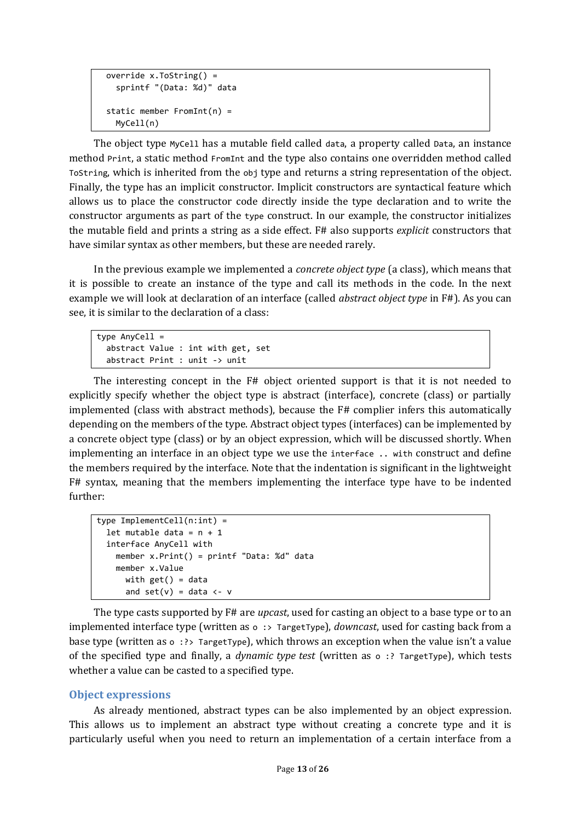```
 override x.ToString() = 
   sprintf "(Data: %d)" data
 static member FromInt(n) = 
   MyCell(n)
```
The object type MyCell has a mutable field called data, a property called Data, an instance method Print, a static method FromInt and the type also contains one overridden method called ToString, which is inherited from the obj type and returns a string representation of the object. Finally, the type has an implicit constructor. Implicit constructors are syntactical feature which allows us to place the constructor code directly inside the type declaration and to write the constructor arguments as part of the type construct. In our example, the constructor initializes the mutable field and prints a string as a side effect. F# also supports *explicit* constructors that have similar syntax as other members, but these are needed rarely.

In the previous example we implemented a *concrete object type* (a class), which means that it is possible to create an instance of the type and call its methods in the code. In the next example we will look at declaration of an interface (called *abstract object type* in F#). As you can see, it is similar to the declaration of a class:

```
type AnyCell = 
   abstract Value : int with get, set
   abstract Print : unit -> unit
```
The interesting concept in the F# object oriented support is that it is not needed to explicitly specify whether the object type is abstract (interface), concrete (class) or partially implemented (class with abstract methods), because the F# complier infers this automatically depending on the members of the type. Abstract object types (interfaces) can be implemented by a concrete object type (class) or by an object expression, which will be discussed shortly. When implementing an interface in an object type we use the interface .. with construct and define the members required by the interface. Note that the indentation is significant in the lightweight F# syntax, meaning that the members implementing the interface type have to be indented further:

```
type ImplementCell(n:int) =
  let mutable data = n + 1 interface AnyCell with
    member x.Print() = printf "Data: %d" data
    member x.Value 
      with get() = dataand set(v) = data < -v
```
The type casts supported by F# are *upcast*, used for casting an object to a base type or to an implemented interface type (written as o :> TargetType), *downcast*, used for casting back from a base type (written as o :?> TargetType), which throws an exception when the value isn't a value of the specified type and finally, a *dynamic type test* (written as o :? TargetType), which tests whether a value can be casted to a specified type.

#### **Object expressions**

As already mentioned, abstract types can be also implemented by an object expression. This allows us to implement an abstract type without creating a concrete type and it is particularly useful when you need to return an implementation of a certain interface from a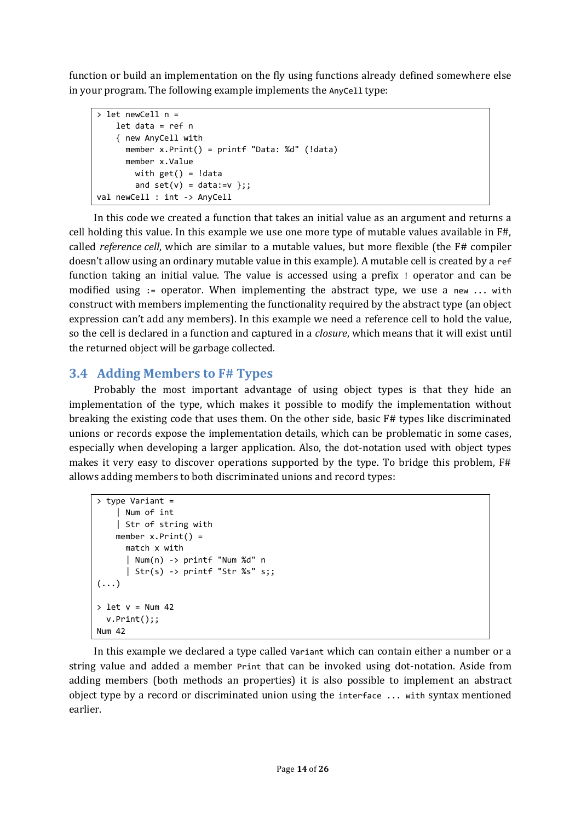function or build an implementation on the fly using functions already defined somewhere else in your program. The following example implements the AnyCe11 type:

```
> let newCell n =
    let data = ref n
     { new AnyCell with
       member x.Print() = printf "Data: %d" (!data)
       member x.Value 
       with get() = !dataand set(v) = data := v ;;
val newCell : int -> AnyCell
```
In this code we created a function that takes an initial value as an argument and returns a cell holding this value. In this example we use one more type of mutable values available in F#, called *reference cell*, which are similar to a mutable values, but more flexible (the F# compiler doesn't allow using an ordinary mutable value in this example). A mutable cell is created by a ref function taking an initial value. The value is accessed using a prefix ! operator and can be modified using := operator. When implementing the abstract type, we use a new ... with construct with members implementing the functionality required by the abstract type (an object expression can't add any members). In this example we need a reference cell to hold the value, so the cell is declared in a function and captured in a *closure*, which means that it will exist until the returned object will be garbage collected.

## **3.4 Adding Members to F# Types**

Probably the most important advantage of using object types is that they hide an implementation of the type, which makes it possible to modify the implementation without breaking the existing code that uses them. On the other side, basic F# types like discriminated unions or records expose the implementation details, which can be problematic in some cases, especially when developing a larger application. Also, the dot-notation used with object types makes it very easy to discover operations supported by the type. To bridge this problem, F# allows adding members to both discriminated unions and record types:

```
> type Variant =
     | Num of int
     | Str of string with
    member x.Print() = match x with
       | Num(n) -> printf "Num %d" n
      | Str(s) -> printf "Str %s" s;;
(\ldots)> let v = Num 42
   v.Print();;
Num 42
```
In this example we declared a type called Variant which can contain either a number or a string value and added a member Print that can be invoked using dot-notation. Aside from adding members (both methods an properties) it is also possible to implement an abstract object type by a record or discriminated union using the interface ... with syntax mentioned earlier.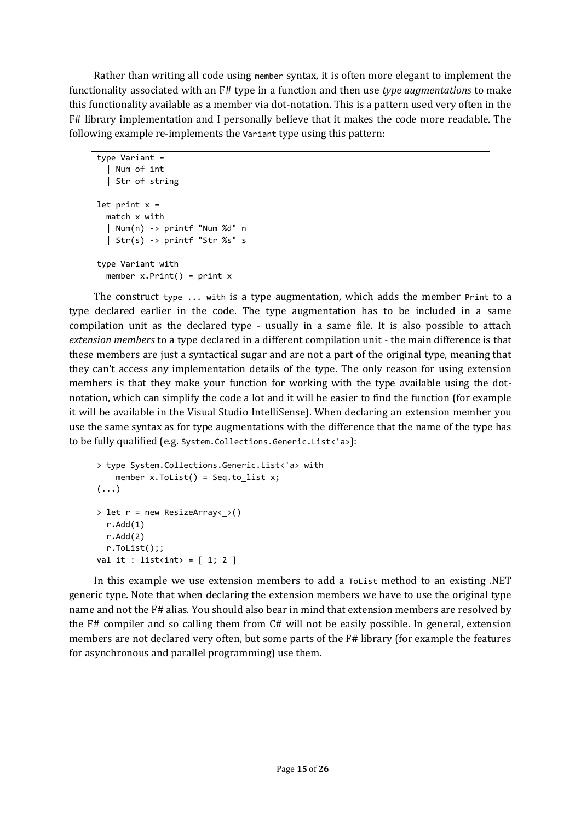Rather than writing all code using member syntax, it is often more elegant to implement the functionality associated with an F# type in a function and then use *type augmentations* to make this functionality available as a member via dot-notation. This is a pattern used very often in the F# library implementation and I personally believe that it makes the code more readable. The following example re-implements the Variant type using this pattern:

```
type Variant =
   | Num of int
   | Str of string
let print x = match x with
   | Num(n) -> printf "Num %d" n
   | Str(s) -> printf "Str %s" s
type Variant with
  member x.Print() = print x
```
The construct type ... with is a type augmentation, which adds the member Print to a type declared earlier in the code. The type augmentation has to be included in a same compilation unit as the declared type - usually in a same file. It is also possible to attach *extension members* to a type declared in a different compilation unit - the main difference is that these members are just a syntactical sugar and are not a part of the original type, meaning that they can't access any implementation details of the type. The only reason for using extension members is that they make your function for working with the type available using the dotnotation, which can simplify the code a lot and it will be easier to find the function (for example it will be available in the Visual Studio IntelliSense). When declaring an extension member you use the same syntax as for type augmentations with the difference that the name of the type has to be fully qualified (e.g. System.Collections.Generic.List<'a>):

```
> type System.Collections.Generic.List<'a> with
    member x.Tolist() = Seq.tolist x;(\ldots)> let r = new ResizeArray < > ()
  r.Add(1)
   r.Add(2)
   r.ToList();;
val it : list<int> = [1; 2]
```
In this example we use extension members to add a ToList method to an existing .NET generic type. Note that when declaring the extension members we have to use the original type name and not the F# alias. You should also bear in mind that extension members are resolved by the F# compiler and so calling them from C# will not be easily possible. In general, extension members are not declared very often, but some parts of the F# library (for example the features for asynchronous and parallel programming) use them.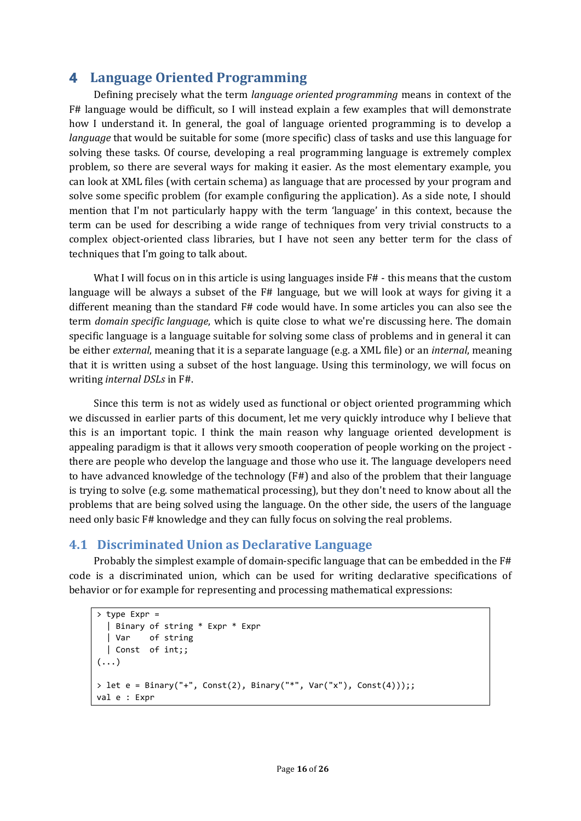## 4 **Language Oriented Programming**

Defining precisely what the term *language oriented programming* means in context of the F# language would be difficult, so I will instead explain a few examples that will demonstrate how I understand it. In general, the goal of language oriented programming is to develop a *language* that would be suitable for some (more specific) class of tasks and use this language for solving these tasks. Of course, developing a real programming language is extremely complex problem, so there are several ways for making it easier. As the most elementary example, you can look at XML files (with certain schema) as language that are processed by your program and solve some specific problem (for example configuring the application). As a side note, I should mention that I'm not particularly happy with the term 'language' in this context, because the term can be used for describing a wide range of techniques from very trivial constructs to a complex object-oriented class libraries, but I have not seen any better term for the class of techniques that I'm going to talk about.

What I will focus on in this article is using languages inside F# - this means that the custom language will be always a subset of the F# language, but we will look at ways for giving it a different meaning than the standard F# code would have. In some articles you can also see the term *domain specific language*, which is quite close to what we're discussing here. The domain specific language is a language suitable for solving some class of problems and in general it can be either *external*, meaning that it is a separate language (e.g. a XML file) or an *internal*, meaning that it is written using a subset of the host language. Using this terminology, we will focus on writing *internal DSLs* in F#.

Since this term is not as widely used as functional or object oriented programming which we discussed in earlier parts of this document, let me very quickly introduce why I believe that this is an important topic. I think the main reason why language oriented development is appealing paradigm is that it allows very smooth cooperation of people working on the project there are people who develop the language and those who use it. The language developers need to have advanced knowledge of the technology (F#) and also of the problem that their language is trying to solve (e.g. some mathematical processing), but they don't need to know about all the problems that are being solved using the language. On the other side, the users of the language need only basic F# knowledge and they can fully focus on solving the real problems.

#### **4.1 Discriminated Union as Declarative Language**

Probably the simplest example of domain-specific language that can be embedded in the F# code is a discriminated union, which can be used for writing declarative specifications of behavior or for example for representing and processing mathematical expressions:

```
> type Expr = 
   | Binary of string * Expr * Expr
   | Var of string 
   | Const of int;;
(\ldots)> let e = Binary("+", Const(2), Binary("*", Var("x"), Const(4)));;
val e : Expr
```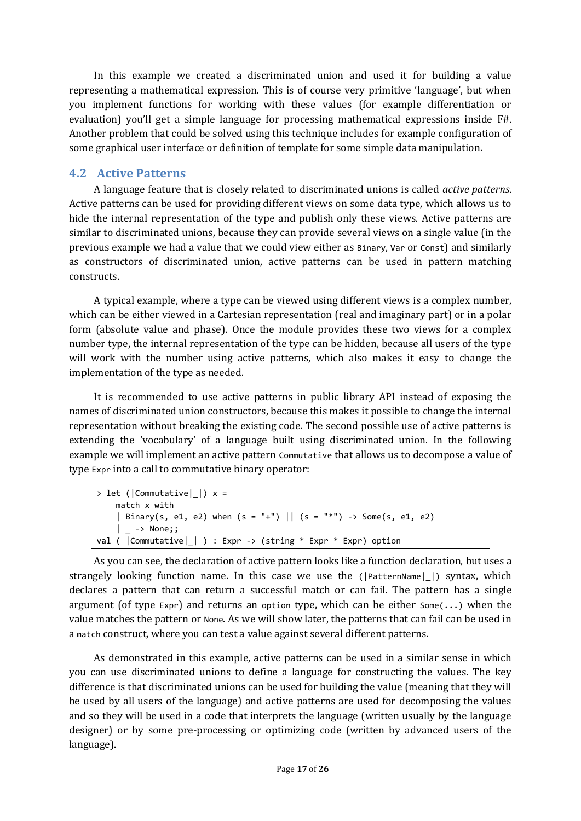In this example we created a discriminated union and used it for building a value representing a mathematical expression. This is of course very primitive 'language', but when you implement functions for working with these values (for example differentiation or evaluation) you'll get a simple language for processing mathematical expressions inside F#. Another problem that could be solved using this technique includes for example configuration of some graphical user interface or definition of template for some simple data manipulation.

#### **4.2 Active Patterns**

A language feature that is closely related to discriminated unions is called *active patterns*. Active patterns can be used for providing different views on some data type, which allows us to hide the internal representation of the type and publish only these views. Active patterns are similar to discriminated unions, because they can provide several views on a single value (in the previous example we had a value that we could view either as Binary, Var or Const) and similarly as constructors of discriminated union, active patterns can be used in pattern matching constructs.

A typical example, where a type can be viewed using different views is a complex number, which can be either viewed in a Cartesian representation (real and imaginary part) or in a polar form (absolute value and phase). Once the module provides these two views for a complex number type, the internal representation of the type can be hidden, because all users of the type will work with the number using active patterns, which also makes it easy to change the implementation of the type as needed.

It is recommended to use active patterns in public library API instead of exposing the names of discriminated union constructors, because this makes it possible to change the internal representation without breaking the existing code. The second possible use of active patterns is extending the 'vocabulary' of a language built using discriminated union. In the following example we will implement an active pattern Commutative that allows us to decompose a value of type Expr into a call to commutative binary operator:

```
> let (|Commutative| |) x = match x with
    | Binary(s, e1, e2) when (s = "+") || (s = "*") -> Some(s, e1, e2)
     | _ -> None;;
val ( |Commutative|_| ) : Expr -> (string * Expr * Expr) option
```
As you can see, the declaration of active pattern looks like a function declaration, but uses a strangely looking function name. In this case we use the ( $|$ PatternName $|$ ) syntax, which declares a pattern that can return a successful match or can fail. The pattern has a single argument (of type Expr) and returns an option type, which can be either  $Some(\ldots)$  when the value matches the pattern or None. As we will show later, the patterns that can fail can be used in a match construct, where you can test a value against several different patterns.

As demonstrated in this example, active patterns can be used in a similar sense in which you can use discriminated unions to define a language for constructing the values. The key difference is that discriminated unions can be used for building the value (meaning that they will be used by all users of the language) and active patterns are used for decomposing the values and so they will be used in a code that interprets the language (written usually by the language designer) or by some pre-processing or optimizing code (written by advanced users of the language).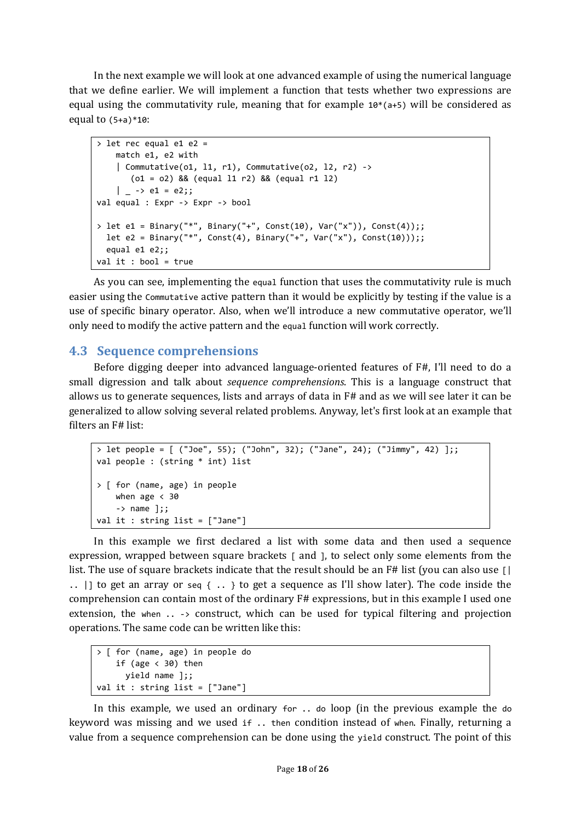In the next example we will look at one advanced example of using the numerical language that we define earlier. We will implement a function that tests whether two expressions are equal using the commutativity rule, meaning that for example  $10*(a+5)$  will be considered as equal to  $(5+a)*10$ :

```
\overline{\smash{\big)}\,} let rec equal e1 e2 =
     match e1, e2 with
    | Commutative(o1, 11, r1), Commutative(o2, 12, r2) ->
        (o1 = o2) && (equal l1 r2) && (equal r1 l2)
    | -> e1 = e2;;
val equal : Expr -> Expr -> bool
> let e1 = Binary("*", Binary("+", Const(10), Var("x")), Const(4));;
  let e2 = Binary("*", Const(4), Binary("+", Var("x"), Const(10)));;
   equal e1 e2;;
val it : bool = true
```
As you can see, implementing the equal function that uses the commutativity rule is much easier using the Commutative active pattern than it would be explicitly by testing if the value is a use of specific binary operator. Also, when we'll introduce a new commutative operator, we'll only need to modify the active pattern and the equal function will work correctly.

#### **4.3 Sequence comprehensions**

Before digging deeper into advanced language-oriented features of F#, I'll need to do a small digression and talk about *sequence comprehensions*. This is a language construct that allows us to generate sequences, lists and arrays of data in F# and as we will see later it can be generalized to allow solving several related problems. Anyway, let's first look at an example that filters an F# list:

```
> let people = [ ("Joe", 55); ("John", 32); ("Jane", 24); ("Jimmy", 42) ];;
val people : (string * int) list
> [ for (name, age) in people
    when age \langle 30
    \rightarrow name ];val it : string list = ["Jane"]
```
In this example we first declared a list with some data and then used a sequence expression, wrapped between square brackets [ and ], to select only some elements from the list. The use of square brackets indicate that the result should be an F# list (you can also use []  $\ldots$  |] to get an array or seq { $\ldots$  } to get a sequence as I'll show later). The code inside the comprehension can contain most of the ordinary F# expressions, but in this example I used one extension, the when .. -> construct, which can be used for typical filtering and projection operations. The same code can be written like this:

```
> [ for (name, age) in people do
    if (age \langle 30 \rangle then
        yield name ];;
val it : string list = ["Jane"]
```
In this example, we used an ordinary for .. do loop (in the previous example the do keyword was missing and we used if .. then condition instead of when. Finally, returning a value from a sequence comprehension can be done using the yield construct. The point of this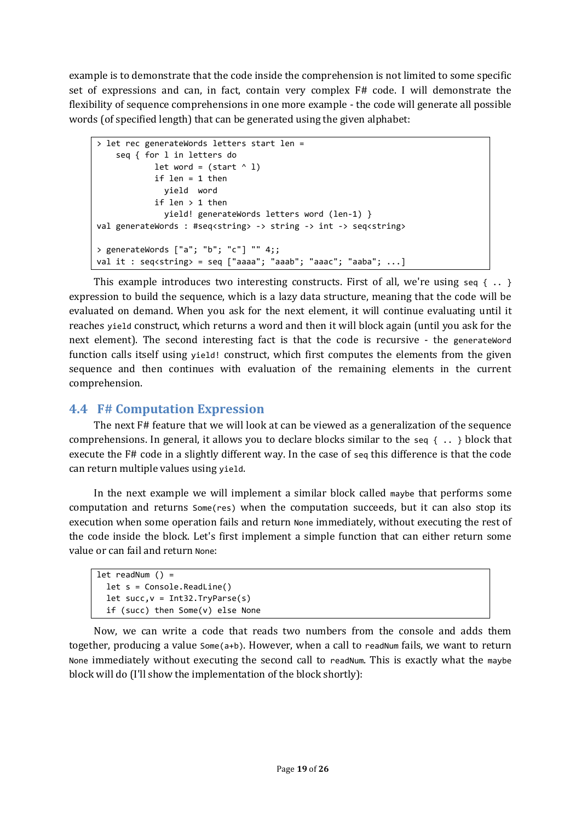example is to demonstrate that the code inside the comprehension is not limited to some specific set of expressions and can, in fact, contain very complex F# code. I will demonstrate the flexibility of sequence comprehensions in one more example - the code will generate all possible words (of specified length) that can be generated using the given alphabet:

```
> let rec generateWords letters start len =
     seq { for l in letters do
            let word = (stat^ 0 1)if len = 1 then yield word
             if len > 1 then
               yield! generateWords letters word (len-1) }
val generateWords : #seq<string> -> string -> int -> seq<string>
> generateWords ["a"; "b"; "c"] "" 4;;
val it : seq<string> = seq ["aaaa"; "aaab"; "aaac"; "aaba"; ...]
```
This example introduces two interesting constructs. First of all, we're using seq { $\ldots$  } expression to build the sequence, which is a lazy data structure, meaning that the code will be evaluated on demand. When you ask for the next element, it will continue evaluating until it reaches yield construct, which returns a word and then it will block again (until you ask for the next element). The second interesting fact is that the code is recursive - the generateWord function calls itself using yield! construct, which first computes the elements from the given sequence and then continues with evaluation of the remaining elements in the current comprehension.

#### **4.4 F# Computation Expression**

The next F# feature that we will look at can be viewed as a generalization of the sequence comprehensions. In general, it allows you to declare blocks similar to the seq  $\{\ldots\}$  block that execute the F# code in a slightly different way. In the case of seq this difference is that the code can return multiple values using yield.

In the next example we will implement a similar block called maybe that performs some computation and returns Some(res) when the computation succeeds, but it can also stop its execution when some operation fails and return None immediately, without executing the rest of the code inside the block. Let's first implement a simple function that can either return some value or can fail and return None:

```
let readNum () = let s = Console.ReadLine()
  let succ, v = Int32.TryParse(s) if (succ) then Some(v) else None
```
Now, we can write a code that reads two numbers from the console and adds them together, producing a value Some(a+b). However, when a call to readNum fails, we want to return None immediately without executing the second call to readNum. This is exactly what the maybe block will do (I'll show the implementation of the block shortly):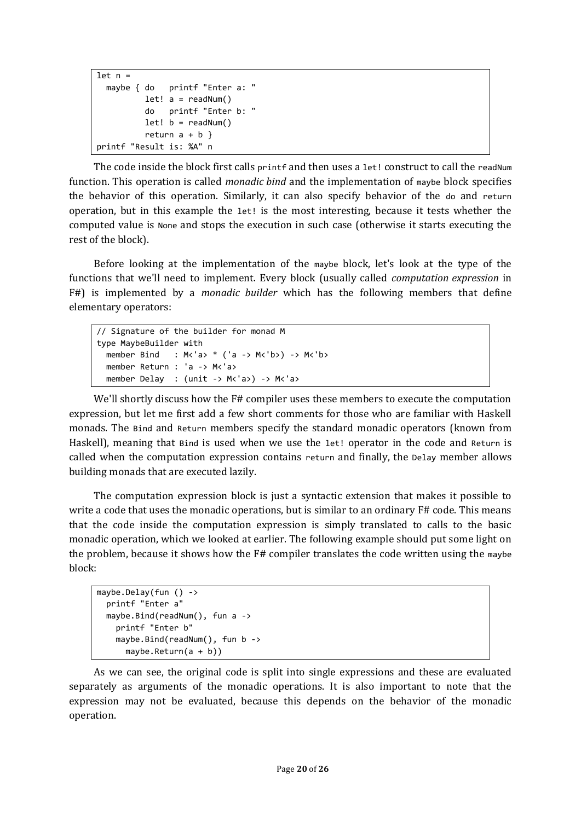```
let n = maybe { do printf "Enter a: "
         let! a = readNum() do printf "Enter b: "
         let! b = readNum()return a + b }
printf "Result is: %A" n
```
The code inside the block first calls printf and then uses a 1et! construct to call the readNum function. This operation is called *monadic bind* and the implementation of maybe block specifies the behavior of this operation. Similarly, it can also specify behavior of the do and return operation, but in this example the let! is the most interesting, because it tests whether the computed value is None and stops the execution in such case (otherwise it starts executing the rest of the block).

Before looking at the implementation of the maybe block, let's look at the type of the functions that we'll need to implement. Every block (usually called *computation expression* in F#) is implemented by a *monadic builder* which has the following members that define elementary operators:

```
// Signature of the builder for monad M
type MaybeBuilder with
  member Bind : M<sup>2</sup> a> * ('a -> M<sup>1</sup>b>) -> M<sup>1</sup>b>
   member Return : 'a -> M<'a>
   member Delay : (unit -> M<'a>) -> M<'a>
```
We'll shortly discuss how the F# compiler uses these members to execute the computation expression, but let me first add a few short comments for those who are familiar with Haskell monads. The Bind and Return members specify the standard monadic operators (known from Haskell), meaning that Bind is used when we use the let! operator in the code and Return is called when the computation expression contains return and finally, the Delay member allows building monads that are executed lazily.

The computation expression block is just a syntactic extension that makes it possible to write a code that uses the monadic operations, but is similar to an ordinary F# code. This means that the code inside the computation expression is simply translated to calls to the basic monadic operation, which we looked at earlier. The following example should put some light on the problem, because it shows how the F# compiler translates the code written using the maybe block:

```
maybe.Delay(fun () ->
   printf "Enter a"
   maybe.Bind(readNum(), fun a ->
     printf "Enter b"
     maybe.Bind(readNum(), fun b ->
       maybe.Return(a + b))
```
As we can see, the original code is split into single expressions and these are evaluated separately as arguments of the monadic operations. It is also important to note that the expression may not be evaluated, because this depends on the behavior of the monadic operation.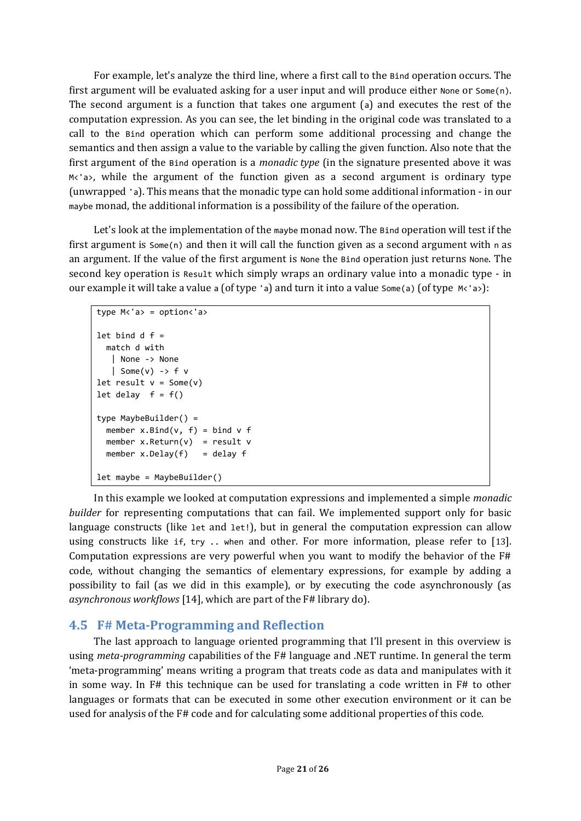For example, let's analyze the third line, where a first call to the Bind operation occurs. The first argument will be evaluated asking for a user input and will produce either None or Some(n). The second argument is a function that takes one argument (a) and executes the rest of the computation expression. As you can see, the let binding in the original code was translated to a call to the Bind operation which can perform some additional processing and change the semantics and then assign a value to the variable by calling the given function. Also note that the first argument of the Bind operation is a *monadic type* (in the signature presented above it was M<'a>, while the argument of the function given as a second argument is ordinary type (unwrapped 'a). This means that the monadic type can hold some additional information - in our maybe monad, the additional information is a possibility of the failure of the operation.

Let's look at the implementation of the maybe monad now. The Bind operation will test if the first argument is  $Some(n)$  and then it will call the function given as a second argument with n as an argument. If the value of the first argument is None the Bind operation just returns None. The second key operation is Result which simply wraps an ordinary value into a monadic type - in our example it will take a value a (of type 'a) and turn it into a value  $Some(a)$  (of type  $M \leq a$ ):

```
type M<'a> = option<'a>
let bind d f = match d with
    | None -> None
   | Some(v) -> f v
let result v = Some(v)let delay f = f()type MaybeBuilder() =
 member x.Bind(v, f) = bind v fmember x. Return(v) = result vmember x.Delay(f) = delay flet maybe = MaybeBuilder()
```
In this example we looked at computation expressions and implemented a simple *monadic builder* for representing computations that can fail. We implemented support only for basic language constructs (like let and let!), but in general the computation expression can allow using constructs like if, try .. when and other. For more information, please refer to [13]. Computation expressions are very powerful when you want to modify the behavior of the F# code, without changing the semantics of elementary expressions, for example by adding a possibility to fail (as we did in this example), or by executing the code asynchronously (as *asynchronous workflows* [14], which are part of the F# library do).

#### **4.5 F# Meta-Programming and Reflection**

The last approach to language oriented programming that I'll present in this overview is using *meta-programming* capabilities of the F# language and .NET runtime. In general the term 'meta-programming' means writing a program that treats code as data and manipulates with it in some way. In F# this technique can be used for translating a code written in F# to other languages or formats that can be executed in some other execution environment or it can be used for analysis of the F# code and for calculating some additional properties of this code.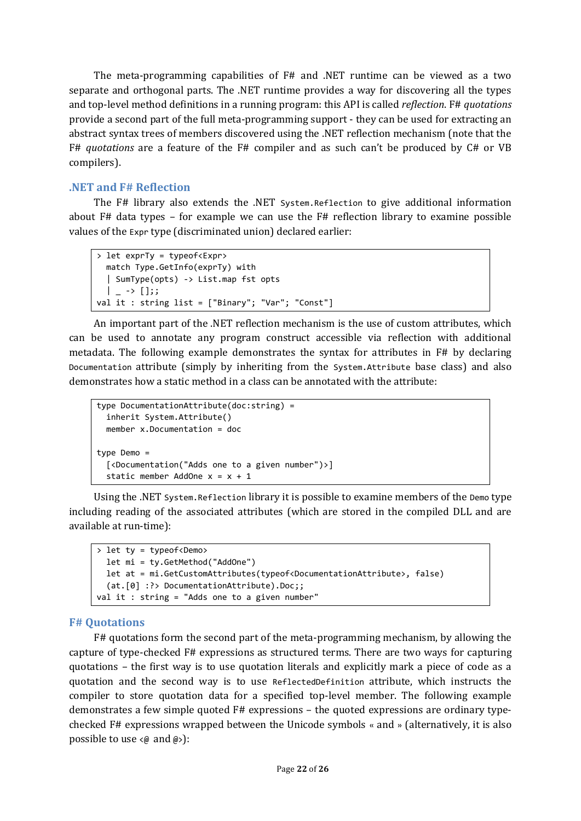The meta-programming capabilities of F# and .NET runtime can be viewed as a two separate and orthogonal parts. The .NET runtime provides a way for discovering all the types and top-level method definitions in a running program: this API is called *reflection*. F# *quotations* provide a second part of the full meta-programming support - they can be used for extracting an abstract syntax trees of members discovered using the .NET reflection mechanism (note that the F# *quotations* are a feature of the F# compiler and as such can't be produced by C# or VB compilers).

#### **.NET and F# Reflection**

The F# library also extends the .NET System.Reflection to give additional information about F# data types – for example we can use the F# reflection library to examine possible values of the Expr type (discriminated union) declared earlier:

```
> let exprTy = typeof<Expr>
   match Type.GetInfo(exprTy) with
   | SumType(opts) -> List.map fst opts
  | - \rangle [];;
val it : string list = ["Binary"; "Var"; "Const"]
```
An important part of the .NET reflection mechanism is the use of custom attributes, which can be used to annotate any program construct accessible via reflection with additional metadata. The following example demonstrates the syntax for attributes in F# by declaring Documentation attribute (simply by inheriting from the System.Attribute base class) and also demonstrates how a static method in a class can be annotated with the attribute:

```
type DocumentationAttribute(doc:string) =
   inherit System.Attribute()
   member x.Documentation = doc
type Demo =
   [<Documentation("Adds one to a given number")>]
  static member AddOne x = x + 1
```
Using the .NET System.Reflection library it is possible to examine members of the Demo type including reading of the associated attributes (which are stored in the compiled DLL and are available at run-time):

```
> let ty = typeof<Demo>
   let mi = ty.GetMethod("AddOne")
   let at = mi.GetCustomAttributes(typeof<DocumentationAttribute>, false)
   (at.[0] :?> DocumentationAttribute).Doc;;
val it : string = "Adds one to a given number"
```
#### **F# Quotations**

F# quotations form the second part of the meta-programming mechanism, by allowing the capture of type-checked F# expressions as structured terms. There are two ways for capturing quotations – the first way is to use quotation literals and explicitly mark a piece of code as a quotation and the second way is to use ReflectedDefinition attribute, which instructs the compiler to store quotation data for a specified top-level member. The following example demonstrates a few simple quoted F# expressions – the quoted expressions are ordinary typechecked F# expressions wrapped between the Unicode symbols « and » (alternatively, it is also possible to use  $\langle \emptyset \text{ and } \emptyset \rangle$ :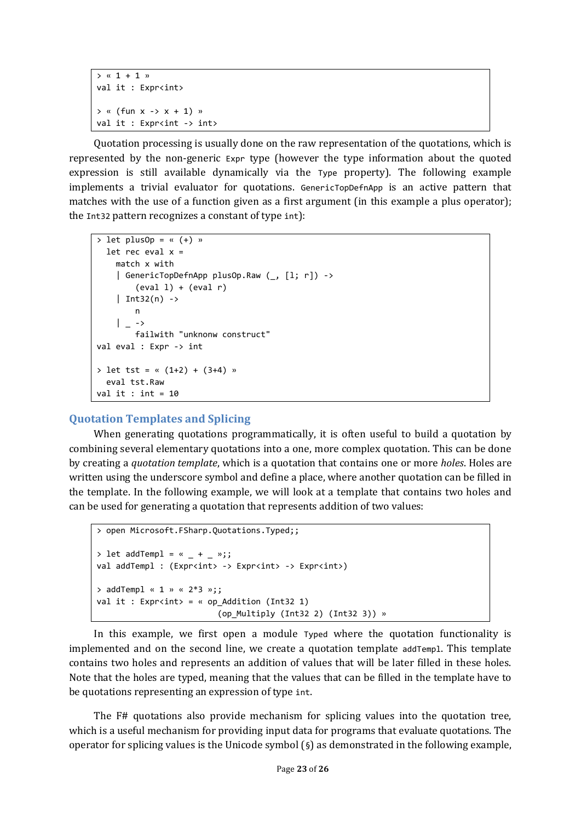```
> « 1 + 1 »
val it : Expr<int>
\rightarrow « (fun x -\rightarrow x + 1) »
val it : Expr<int -> int>
```
Quotation processing is usually done on the raw representation of the quotations, which is represented by the non-generic Expr type (however the type information about the quoted expression is still available dynamically via the Type property). The following example implements a trivial evaluator for quotations. GenericTopDefnApp is an active pattern that matches with the use of a function given as a first argument (in this example a plus operator); the Int32 pattern recognizes a constant of type int):

```
> let plusOp = « (+) »
  let rec eval x = match x with
     | GenericTopDefnApp plusOp.Raw (_, [l; r]) ->
         (\text{eval 1}) + (\text{eval r})| Int32(n) ->
          n
    | \rightarrow failwith "unknonw construct" 
val eval : Expr -> int
> let tst = « (1+2) + (3+4) »
   eval tst.Raw
val it : int = 10
```
#### **Quotation Templates and Splicing**

When generating quotations programmatically, it is often useful to build a quotation by combining several elementary quotations into a one, more complex quotation. This can be done by creating a *quotation template*, which is a quotation that contains one or more *holes*. Holes are written using the underscore symbol and define a place, where another quotation can be filled in the template. In the following example, we will look at a template that contains two holes and can be used for generating a quotation that represents addition of two values:

```
> open Microsoft.FSharp.Quotations.Typed;;
> let addTempl = \kappa + - »;;
val addTempl : (Expr<int> -> Expr<int> -> Expr<int>)
> addTempl « 1 » « 2*3 »;;
val it : Expr<int> = « op_Addition (Int32 1)
                           (op_Multiply (Int32 2) (Int32 3)) »
```
In this example, we first open a module Typed where the quotation functionality is implemented and on the second line, we create a quotation template addTempl. This template contains two holes and represents an addition of values that will be later filled in these holes. Note that the holes are typed, meaning that the values that can be filled in the template have to be quotations representing an expression of type int.

The F# quotations also provide mechanism for splicing values into the quotation tree, which is a useful mechanism for providing input data for programs that evaluate quotations. The operator for splicing values is the Unicode symbol  $(\S)$  as demonstrated in the following example,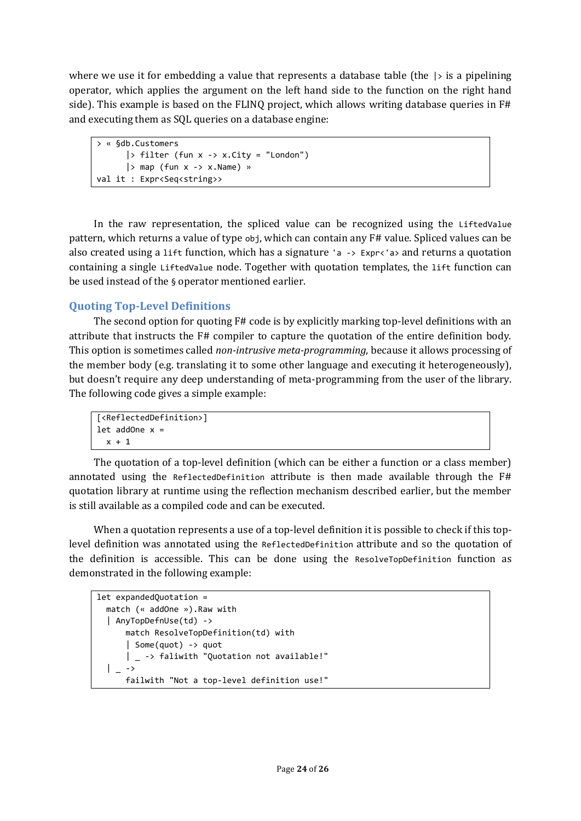where we use it for embedding a value that represents a database table (the  $\vert \cdot \rangle$  is a pipelining operator, which applies the argument on the left hand side to the function on the right hand side). This example is based on the FLINQ project, which allows writing database queries in F# and executing them as SQL queries on a database engine:

```
> « §db.Customers 
       |> filter (fun x \rightarrow x.City = "London")
       | > map (fun x \rightarrow x. Name) »
val it : Expr<Seq<string>>
```
In the raw representation, the spliced value can be recognized using the LiftedValue pattern, which returns a value of type obj, which can contain any F# value. Spliced values can be also created using a 1ift function, which has a signature 'a  $\rightarrow$  Expr $\left\langle \cdot \right\rangle$  and returns a quotation containing a single LiftedValue node. Together with quotation templates, the lift function can be used instead of the § operator mentioned earlier.

## **Quoting Top-Level Definitions**

The second option for quoting F# code is by explicitly marking top-level definitions with an attribute that instructs the F# compiler to capture the quotation of the entire definition body. This option is sometimes called *non-intrusive meta-programming*, because it allows processing of the member body (e.g. translating it to some other language and executing it heterogeneously), but doesn't require any deep understanding of meta-programming from the user of the library. The following code gives a simple example:

```
[<ReflectedDefinition>]
let addOne x =x + 1
```
The quotation of a top-level definition (which can be either a function or a class member) annotated using the ReflectedDefinition attribute is then made available through the F# quotation library at runtime using the reflection mechanism described earlier, but the member is still available as a compiled code and can be executed.

When a quotation represents a use of a top-level definition it is possible to check if this toplevel definition was annotated using the ReflectedDefinition attribute and so the quotation of the definition is accessible. This can be done using the ResolveTopDefinition function as demonstrated in the following example:

```
let expandedQuotation = 
   match (« addOne »).Raw with 
   | AnyTopDefnUse(td) -> 
       match ResolveTopDefinition(td) with
       | Some(quot) -> quot
       | _ -> faliwith "Quotation not available!"
  | \rightarrow failwith "Not a top-level definition use!"
```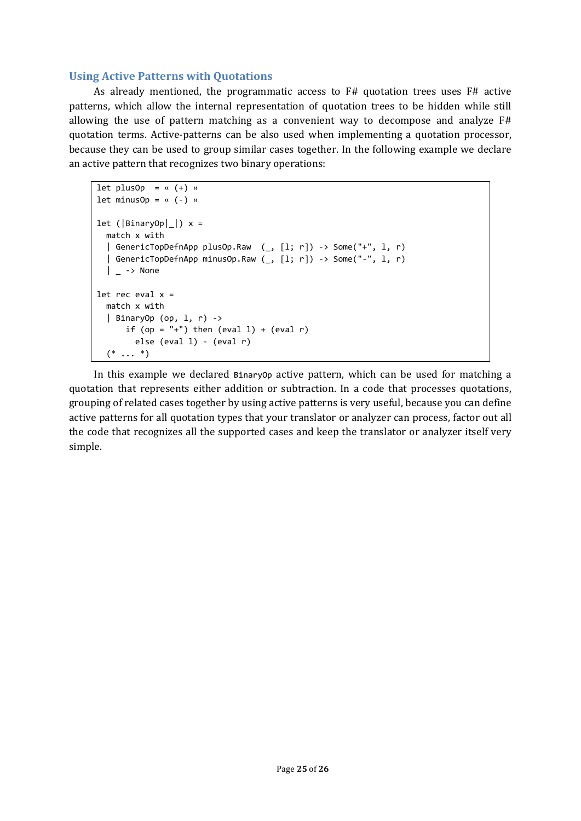#### **Using Active Patterns with Quotations**

As already mentioned, the programmatic access to F# quotation trees uses F# active patterns, which allow the internal representation of quotation trees to be hidden while still allowing the use of pattern matching as a convenient way to decompose and analyze F# quotation terms. Active-patterns can be also used when implementing a quotation processor, because they can be used to group similar cases together. In the following example we declare an active pattern that recognizes two binary operations:

```
let plusOp = \kappa (+) »
let minusOp = \kappa (-) »
let (|BinaryOp|)| > x = match x with
   | GenericTopDefnApp plusOp.Raw (_, [l; r]) -> Some("+", l, r)
   | GenericTopDefnApp minusOp.Raw (_, [l; r]) -> Some("-", l, r)
  \vert -> None
let rec eval x = match x with
   | BinaryOp (op, l, r) ->
      if (op = "+") then (eval 1) + (eval r)
         else (eval l) - (eval r)
  (* \ldots *)
```
In this example we declared BinaryOp active pattern, which can be used for matching a quotation that represents either addition or subtraction. In a code that processes quotations, grouping of related cases together by using active patterns is very useful, because you can define active patterns for all quotation types that your translator or analyzer can process, factor out all the code that recognizes all the supported cases and keep the translator or analyzer itself very simple.